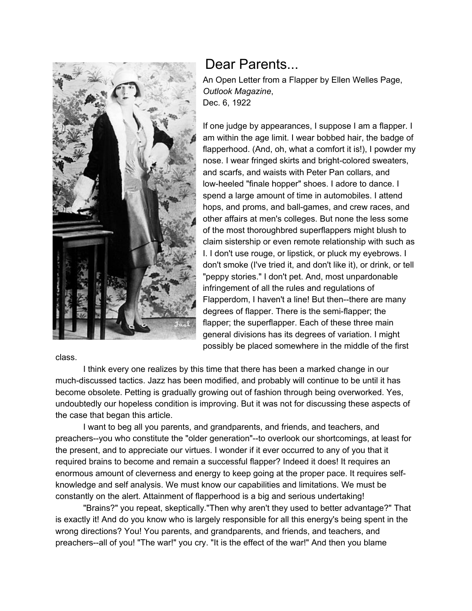

## Dear Parents...

An Open Letter from a Flapper by Ellen Welles Page, *Outlook Magazine*, Dec. 6, 1922

If one judge by appearances, I suppose I am a flapper. I am within the age limit. I wear bobbed hair, the badge of flapperhood. (And, oh, what a comfort it is!), I powder my nose. I wear fringed skirts and bright-colored sweaters, and scarfs, and waists with Peter Pan collars, and low-heeled "finale hopper" shoes. I adore to dance. I spend a large amount of time in automobiles. I attend hops, and proms, and ball-games, and crew races, and other affairs at men's colleges. But none the less some of the most thoroughbred superflappers might blush to claim sistership or even remote relationship with such as I. I don't use rouge, or lipstick, or pluck my eyebrows. I don't smoke (I've tried it, and don't like it), or drink, or tell "peppy stories." I don't pet. And, most unpardonable infringement of all the rules and regulations of Flapperdom, I haven't a line! But then--there are many degrees of flapper. There is the semi-flapper; the flapper; the superflapper. Each of these three main general divisions has its degrees of variation. I might possibly be placed somewhere in the middle of the first

class.

I think every one realizes by this time that there has been a marked change in our much-discussed tactics. Jazz has been modified, and probably will continue to be until it has become obsolete. Petting is gradually growing out of fashion through being overworked. Yes, undoubtedly our hopeless condition is improving. But it was not for discussing these aspects of the case that began this article.

I want to beg all you parents, and grandparents, and friends, and teachers, and preachers--you who constitute the "older generation"--to overlook our shortcomings, at least for the present, and to appreciate our virtues. I wonder if it ever occurred to any of you that it required brains to become and remain a successful flapper? Indeed it does! It requires an enormous amount of cleverness and energy to keep going at the proper pace. It requires selfknowledge and self analysis. We must know our capabilities and limitations. We must be constantly on the alert. Attainment of flapperhood is a big and serious undertaking!

"Brains?" you repeat, skeptically."Then why aren't they used to better advantage?" That is exactly it! And do you know who is largely responsible for all this energy's being spent in the wrong directions? You! You parents, and grandparents, and friends, and teachers, and preachers--all of you! "The war!" you cry. "It is the effect of the war!" And then you blame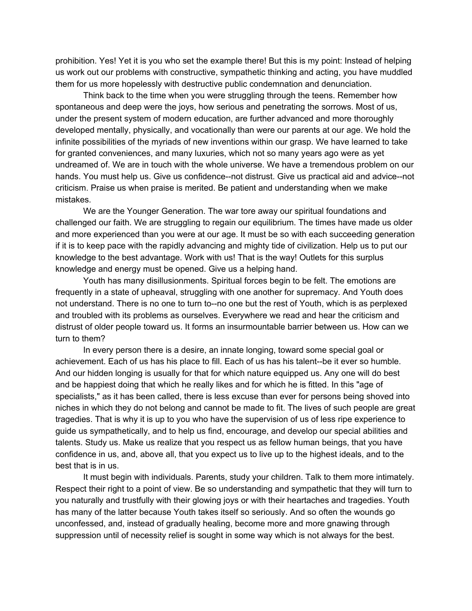prohibition. Yes! Yet it is you who set the example there! But this is my point: Instead of helping us work out our problems with constructive, sympathetic thinking and acting, you have muddled them for us more hopelessly with destructive public condemnation and denunciation.

Think back to the time when you were struggling through the teens. Remember how spontaneous and deep were the joys, how serious and penetrating the sorrows. Most of us, under the present system of modern education, are further advanced and more thoroughly developed mentally, physically, and vocationally than were our parents at our age. We hold the infinite possibilities of the myriads of new inventions within our grasp. We have learned to take for granted conveniences, and many luxuries, which not so many years ago were as yet undreamed of. We are in touch with the whole universe. We have a tremendous problem on our hands. You must help us. Give us confidence--not distrust. Give us practical aid and advice--not criticism. Praise us when praise is merited. Be patient and understanding when we make mistakes.

We are the Younger Generation. The war tore away our spiritual foundations and challenged our faith. We are struggling to regain our equilibrium. The times have made us older and more experienced than you were at our age. It must be so with each succeeding generation if it is to keep pace with the rapidly advancing and mighty tide of civilization. Help us to put our knowledge to the best advantage. Work with us! That is the way! Outlets for this surplus knowledge and energy must be opened. Give us a helping hand.

Youth has many disillusionments. Spiritual forces begin to be felt. The emotions are frequently in a state of upheaval, struggling with one another for supremacy. And Youth does not understand. There is no one to turn to--no one but the rest of Youth, which is as perplexed and troubled with its problems as ourselves. Everywhere we read and hear the criticism and distrust of older people toward us. It forms an insurmountable barrier between us. How can we turn to them?

In every person there is a desire, an innate longing, toward some special goal or achievement. Each of us has his place to fill. Each of us has his talent--be it ever so humble. And our hidden longing is usually for that for which nature equipped us. Any one will do best and be happiest doing that which he really likes and for which he is fitted. In this "age of specialists," as it has been called, there is less excuse than ever for persons being shoved into niches in which they do not belong and cannot be made to fit. The lives of such people are great tragedies. That is why it is up to you who have the supervision of us of less ripe experience to guide us sympathetically, and to help us find, encourage, and develop our special abilities and talents. Study us. Make us realize that you respect us as fellow human beings, that you have confidence in us, and, above all, that you expect us to live up to the highest ideals, and to the best that is in us.

It must begin with individuals. Parents, study your children. Talk to them more intimately. Respect their right to a point of view. Be so understanding and sympathetic that they will turn to you naturally and trustfully with their glowing joys or with their heartaches and tragedies. Youth has many of the latter because Youth takes itself so seriously. And so often the wounds go unconfessed, and, instead of gradually healing, become more and more gnawing through suppression until of necessity relief is sought in some way which is not always for the best.